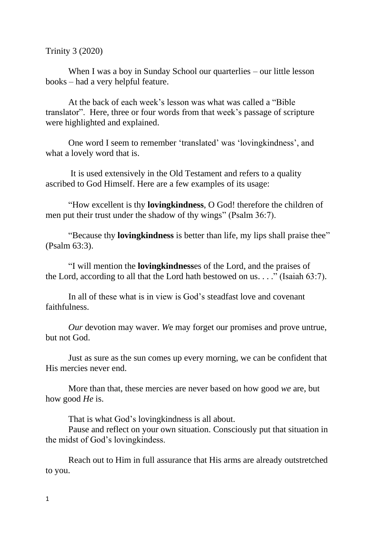Trinity 3 (2020)

When I was a boy in Sunday School our quarterlies – our little lesson books – had a very helpful feature.

At the back of each week's lesson was what was called a "Bible translator". Here, three or four words from that week's passage of scripture were highlighted and explained.

One word I seem to remember 'translated' was 'lovingkindness', and what a lovely word that is.

It is used extensively in the Old Testament and refers to a quality ascribed to God Himself. Here are a few examples of its usage:

"How excellent is thy **lovingkindness**, O God! therefore the children of men put their trust under the shadow of thy wings" (Psalm 36:7).

"Because thy **lovingkindness** is better than life, my lips shall praise thee" (Psalm 63:3).

"I will mention the **lovingkindness**es of the Lord, and the praises of the Lord, according to all that the Lord hath bestowed on us. . . ." (Isaiah 63:7).

In all of these what is in view is God's steadfast love and covenant faithfulness.

*Our* devotion may waver. *W*e may forget our promises and prove untrue, but not God.

Just as sure as the sun comes up every morning, we can be confident that His mercies never end.

More than that, these mercies are never based on how good *we* are, but how good *He* is.

That is what God's lovingkindness is all about.

Pause and reflect on your own situation. Consciously put that situation in the midst of God's lovingkindess.

Reach out to Him in full assurance that His arms are already outstretched to you.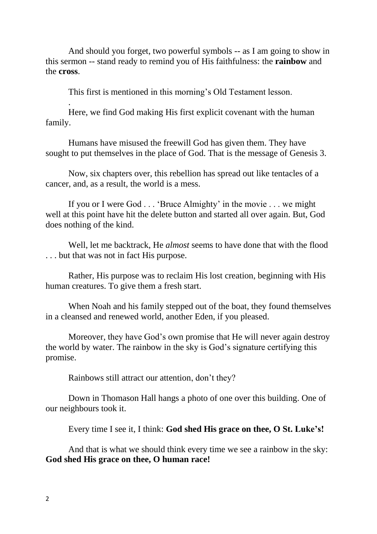And should you forget, two powerful symbols -- as I am going to show in this sermon -- stand ready to remind you of His faithfulness: the **rainbow** and the **cross**.

This first is mentioned in this morning's Old Testament lesson.

Here, we find God making His first explicit covenant with the human family.

Humans have misused the freewill God has given them. They have sought to put themselves in the place of God. That is the message of Genesis 3.

Now, six chapters over, this rebellion has spread out like tentacles of a cancer, and, as a result, the world is a mess.

If you or I were God . . . 'Bruce Almighty' in the movie . . . we might well at this point have hit the delete button and started all over again. But, God does nothing of the kind.

Well, let me backtrack, He *almost* seems to have done that with the flood . . . but that was not in fact His purpose.

Rather, His purpose was to reclaim His lost creation, beginning with His human creatures. To give them a fresh start.

When Noah and his family stepped out of the boat, they found themselves in a cleansed and renewed world, another Eden, if you pleased.

Moreover, they have God's own promise that He will never again destroy the world by water. The rainbow in the sky is God's signature certifying this promise.

Rainbows still attract our attention, don't they?

Down in Thomason Hall hangs a photo of one over this building. One of our neighbours took it.

Every time I see it, I think: **God shed His grace on thee, O St. Luke's!**

And that is what we should think every time we see a rainbow in the sky: **God shed His grace on thee, O human race!**

.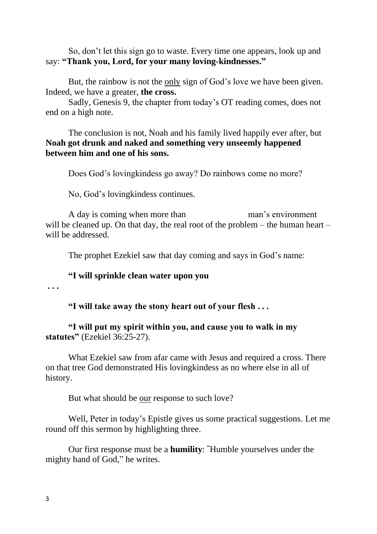So, don't let this sign go to waste. Every time one appears, look up and say: **"Thank you, Lord, for your many loving-kindnesses."**

But, the rainbow is not the only sign of God's love we have been given. Indeed, we have a greater, **the cross.**

Sadly, Genesis 9, the chapter from today's OT reading comes, does not end on a high note.

The conclusion is not, Noah and his family lived happily ever after, but **Noah got drunk and naked and something very unseemly happened between him and one of his sons.**

Does God's lovingkindess go away? Do rainbows come no more?

No, God's lovingkindess continues.

A day is coming when more than man's environment will be cleaned up. On that day, the real root of the problem – the human heart – will be addressed.

The prophet Ezekiel saw that day coming and says in God's name:

## **"I will sprinkle clean water upon you**

**. . .** 

**"I will take away the stony heart out of your flesh . . .**

**"I will put my spirit within you, and cause you to walk in my statutes"** (Ezekiel 36:25-27).

What Ezekiel saw from afar came with Jesus and required a cross. There on that tree God demonstrated His lovingkindess as no where else in all of history.

But what should be our response to such love?

Well, Peter in today's Epistle gives us some practical suggestions. Let me round off this sermon by highlighting three.

Our first response must be a **humility**: **"**Humble yourselves under the mighty hand of God," he writes.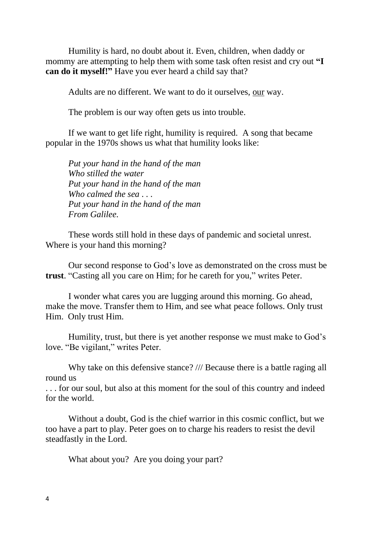Humility is hard, no doubt about it. Even, children, when daddy or mommy are attempting to help them with some task often resist and cry out **"I can do it myself!"** Have you ever heard a child say that?

Adults are no different. We want to do it ourselves, our way.

The problem is our way often gets us into trouble.

If we want to get life right, humility is required. A song that became popular in the 1970s shows us what that humility looks like:

*Put your hand in the hand of the man Who stilled the water Put your hand in the hand of the man Who calmed the sea . . . Put your hand in the hand of the man From Galilee.*

These words still hold in these days of pandemic and societal unrest. Where is your hand this morning?

Our second response to God's love as demonstrated on the cross must be **trust**. "Casting all you care on Him; for he careth for you," writes Peter.

I wonder what cares you are lugging around this morning. Go ahead, make the move. Transfer them to Him, and see what peace follows. Only trust Him. Only trust Him.

Humility, trust, but there is yet another response we must make to God's love. "Be vigilant," writes Peter.

Why take on this defensive stance? /// Because there is a battle raging all round us

. . . for our soul, but also at this moment for the soul of this country and indeed for the world.

Without a doubt, God is the chief warrior in this cosmic conflict, but we too have a part to play. Peter goes on to charge his readers to resist the devil steadfastly in the Lord.

What about you? Are you doing your part?